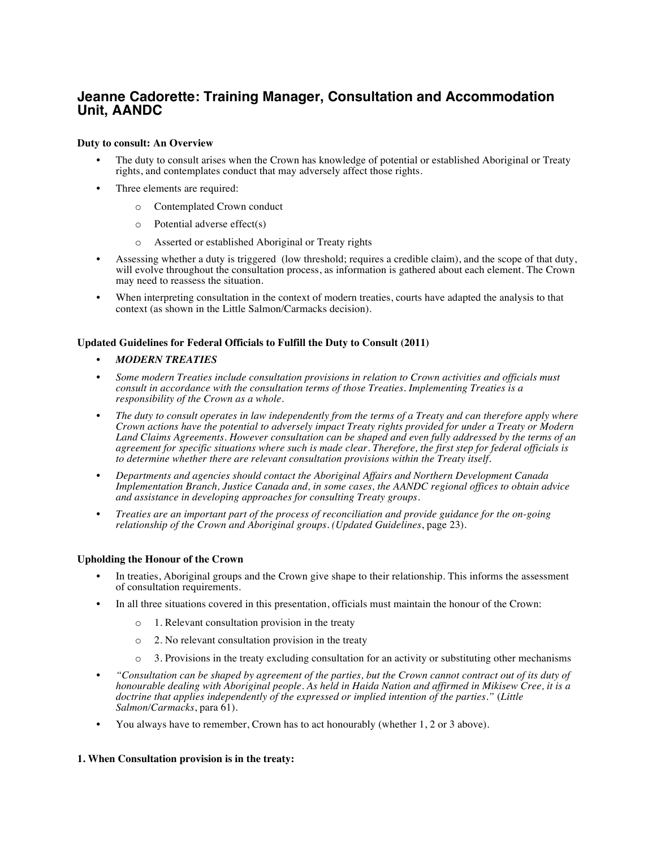# **Jeanne Cadorette: Training Manager, Consultation and Accommodation Unit, AANDC**

#### **Duty to consult: An Overview**

- The duty to consult arises when the Crown has knowledge of potential or established Aboriginal or Treaty rights, and contemplates conduct that may adversely affect those rights.
- Three elements are required:
	- o Contemplated Crown conduct
	- o Potential adverse effect(s)
	- o Asserted or established Aboriginal or Treaty rights
- Assessing whether a duty is triggered (low threshold; requires a credible claim), and the scope of that duty, will evolve throughout the consultation process, as information is gathered about each element. The Crown may need to reassess the situation.
- When interpreting consultation in the context of modern treaties, courts have adapted the analysis to that context (as shown in the Little Salmon/Carmacks decision).

## **Updated Guidelines for Federal Officials to Fulfill the Duty to Consult (2011)**

## • *MODERN TREATIES*

- *Some modern Treaties include consultation provisions in relation to Crown activities and officials must consult in accordance with the consultation terms of those Treaties. Implementing Treaties is a responsibility of the Crown as a whole.*
- *The duty to consult operates in law independently from the terms of a Treaty and can therefore apply where Crown actions have the potential to adversely impact Treaty rights provided for under a Treaty or Modern Land Claims Agreements. However consultation can be shaped and even fully addressed by the terms of an agreement for specific situations where such is made clear. Therefore, the first step for federal officials is to determine whether there are relevant consultation provisions within the Treaty itself.*
- *Departments and agencies should contact the Aboriginal Affairs and Northern Development Canada Implementation Branch, Justice Canada and, in some cases, the AANDC regional offices to obtain advice and assistance in developing approaches for consulting Treaty groups.*
- *Treaties are an important part of the process of reconciliation and provide guidance for the on-going relationship of the Crown and Aboriginal groups. (Updated Guidelines*, page 23).

#### **Upholding the Honour of the Crown**

- In treaties, Aboriginal groups and the Crown give shape to their relationship. This informs the assessment of consultation requirements.
- In all three situations covered in this presentation, officials must maintain the honour of the Crown:
	- o 1. Relevant consultation provision in the treaty
	- o 2. No relevant consultation provision in the treaty
	- $\circ$  3. Provisions in the treaty excluding consultation for an activity or substituting other mechanisms
- *"Consultation can be shaped by agreement of the parties, but the Crown cannot contract out of its duty of honourable dealing with Aboriginal people. As held in Haida Nation and affirmed in Mikisew Cree, it is a doctrine that applies independently of the expressed or implied intention of the parties."* (*Little Salmon/Carmacks*, para 61).
- You always have to remember, Crown has to act honourably (whether 1, 2 or 3 above).

#### **1. When Consultation provision is in the treaty:**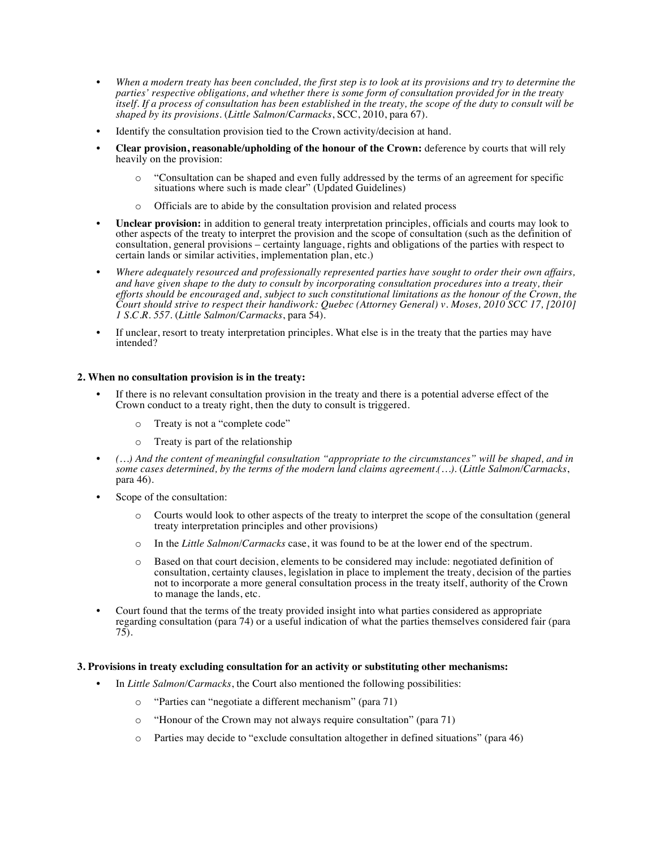- *When a modern treaty has been concluded, the first step is to look at its provisions and try to determine the parties' respective obligations, and whether there is some form of consultation provided for in the treaty itself. If a process of consultation has been established in the treaty, the scope of the duty to consult will be shaped by its provisions.* (*Little Salmon/Carmacks*, SCC, 2010, para 67).
- Identify the consultation provision tied to the Crown activity/decision at hand.
- **Clear provision, reasonable/upholding of the honour of the Crown:** deference by courts that will rely heavily on the provision:
	- o "Consultation can be shaped and even fully addressed by the terms of an agreement for specific situations where such is made clear" (Updated Guidelines)
	- o Officials are to abide by the consultation provision and related process
- **Unclear provision:** in addition to general treaty interpretation principles, officials and courts may look to other aspects of the treaty to interpret the provision and the scope of consultation (such as the definition of consultation, general provisions – certainty language, rights and obligations of the parties with respect to certain lands or similar activities, implementation plan, etc.)
- *Where adequately resourced and professionally represented parties have sought to order their own affairs, and have given shape to the duty to consult by incorporating consultation procedures into a treaty, their efforts should be encouraged and, subject to such constitutional limitations as the honour of the Crown, the Court should strive to respect their handiwork: Quebec (Attorney General) v. Moses, 2010 SCC 17, [2010] 1 S.C.R. 557*. (*Little Salmon/Carmacks*, para 54).
- If unclear, resort to treaty interpretation principles. What else is in the treaty that the parties may have intended?

## **2. When no consultation provision is in the treaty:**

- If there is no relevant consultation provision in the treaty and there is a potential adverse effect of the Crown conduct to a treaty right, then the duty to consult is triggered.
	- o Treaty is not a "complete code"
	- o Treaty is part of the relationship
- *(…) And the content of meaningful consultation "appropriate to the circumstances" will be shaped, and in some cases determined, by the terms of the modern land claims agreement.(…)*. (*Little Salmon/Carmacks*, para 46).
- Scope of the consultation:
	- o Courts would look to other aspects of the treaty to interpret the scope of the consultation (general treaty interpretation principles and other provisions)
	- o In the *Little Salmon/Carmacks* case, it was found to be at the lower end of the spectrum.
	- o Based on that court decision, elements to be considered may include: negotiated definition of consultation, certainty clauses, legislation in place to implement the treaty, decision of the parties not to incorporate a more general consultation process in the treaty itself, authority of the Crown to manage the lands, etc.
- Court found that the terms of the treaty provided insight into what parties considered as appropriate regarding consultation (para 74) or a useful indication of what the parties themselves considered fair (para 75).

#### **3. Provisions in treaty excluding consultation for an activity or substituting other mechanisms:**

- In *Little Salmon/Carmacks*, the Court also mentioned the following possibilities:
	- o "Parties can "negotiate a different mechanism" (para 71)
	- o "Honour of the Crown may not always require consultation" (para 71)
	- o Parties may decide to "exclude consultation altogether in defined situations" (para 46)